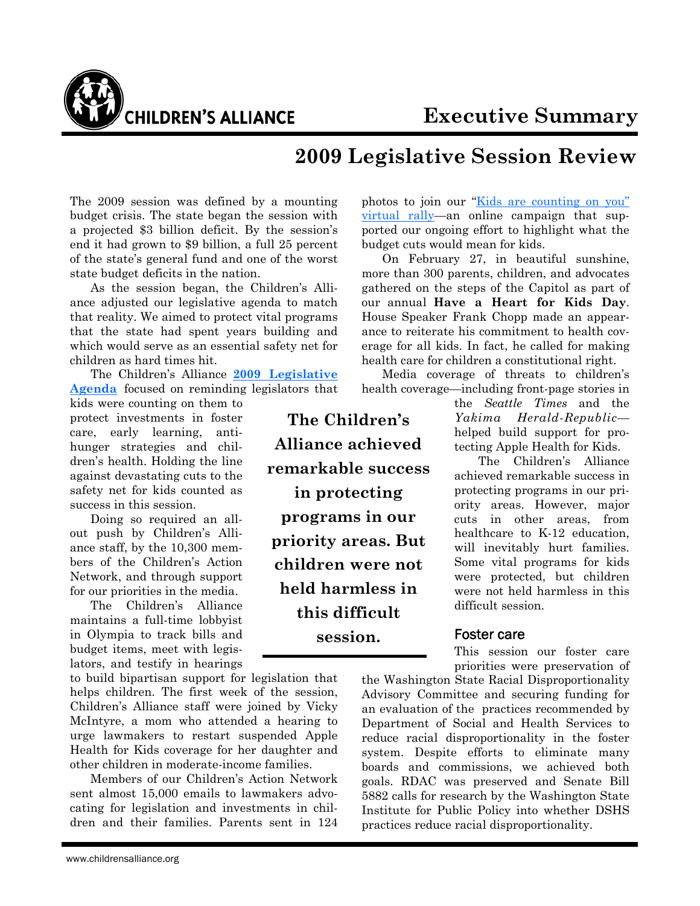

# **2009 Legislative Session Review**

The 2009 session was defined by a mounting budget crisis. The state began the session with a projected \$3 billion deficit. By the session's end it had grown to \$9 billion, a full 25 percent of the state's general fund and one of the worst state budget deficits in the nation.

 As the session began, the Children's Alliance adjusted our legislative agenda to match that reality. We aimed to protect vital programs that the state had spent years building and which would serve as an essential safety net for children as hard times hit.

 The Children's Alliance **2009 Legislative Agenda** focused on reminding legislators that

**The Children's** 

**Alliance achieved** 

**remarkable success** 

**in protecting** 

**programs in our** 

**priority areas. But** 

**children were not** 

**held harmless in** 

**this difficult** 

**session.** 

kids were counting on them to protect investments in foster care, early learning, antihunger strategies and children's health. Holding the line against devastating cuts to the safety net for kids counted as success in this session.

 Doing so required an allout push by Children's Alliance staff, by the 10,300 members of the Children's Action Network, and through support for our priorities in the media.

 The Children's Alliance maintains a full-time lobbyist in Olympia to track bills and budget items, meet with legislators, and testify in hearings

to build bipartisan support for legislation that helps children. The first week of the session, Children's Alliance staff were joined by Vicky McIntyre, a mom who attended a hearing to urge lawmakers to restart suspended Apple Health for Kids coverage for her daughter and other children in moderate-income families.

 Members of our Children's Action Network sent almost 15,000 emails to lawmakers advocating for legislation and investments in children and their families. Parents sent in 124

photos to join our "Kids are counting on you" virtual rally—an online campaign that supported our ongoing effort to highlight what the budget cuts would mean for kids.

 On February 27, in beautiful sunshine, more than 300 parents, children, and advocates gathered on the steps of the Capitol as part of our annual **Have a Heart for Kids Day**. House Speaker Frank Chopp made an appearance to reiterate his commitment to health coverage for all kids. In fact, he called for making health care for children a constitutional right.

 Media coverage of threats to children's health coverage—including front-page stories in

> the *Seattle Times* and the *Yakima Herald-Republic* helped build support for protecting Apple Health for Kids.

> The Children's Alliance achieved remarkable success in protecting programs in our priority areas. However, major cuts in other areas, from healthcare to K-12 education, will inevitably hurt families. Some vital programs for kids were protected, but children were not held harmless in this difficult session.

#### Foster care

This session our foster care priorities were preservation of

the Washington State Racial Disproportionality Advisory Committee and securing funding for an evaluation of the practices recommended by Department of Social and Health Services to reduce racial disproportionality in the foster system. Despite efforts to eliminate many boards and commissions, we achieved both goals. RDAC was preserved and Senate Bill 5882 calls for research by the Washington State Institute for Public Policy into whether DSHS practices reduce racial disproportionality.